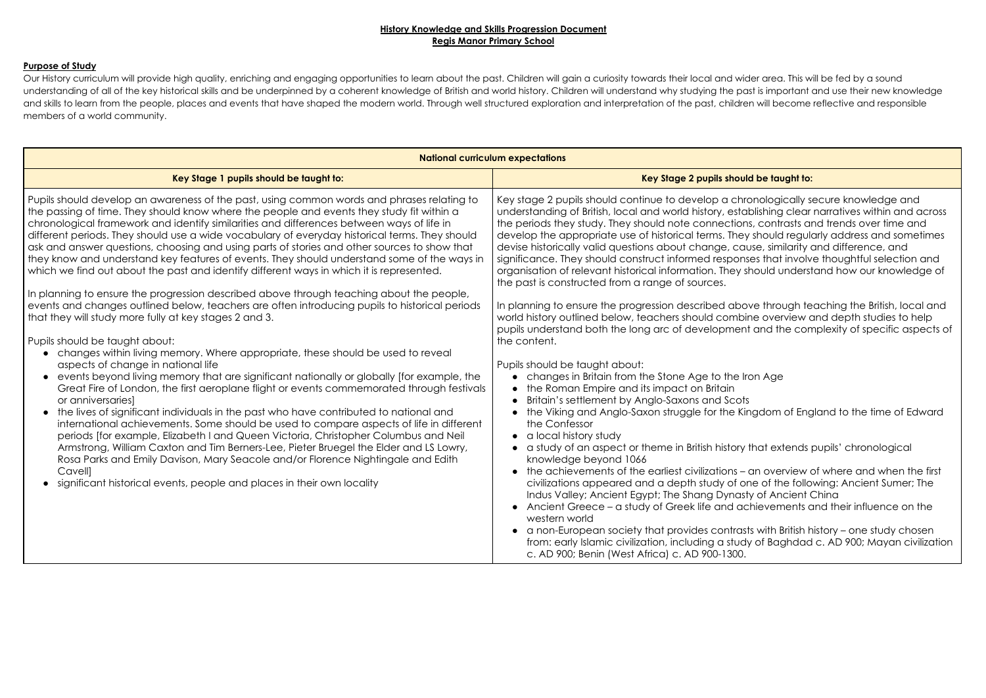### **History Knowledge and Skills Progression Document Regis Manor Primary School**

## **Purpose of Study**

Our History curriculum will provide high quality, enriching and engaging opportunities to learn about the past. Children will gain a curiosity towards their local and wider area. This will be fed by a sound understanding of all of the key historical skills and be underpinned by a coherent knowledge of British and world history. Children will understand why studying the past is important and use their new knowledge and skills to learn from the people, places and events that have shaped the modern world. Through well structured exploration and interpretation of the past, children will become reflective and responsible members of a world community.

| <b>National curriculum expectations</b>                                                                                                                                                                                                                                                                                                                                                                                                                                                                                                                                                                                                                                                                                                                                                                                                                                                                                                                                                                                                                                                                                                                                                                                                                                                                                                                                                                                                                                                                                                                                                                                                                                                                                                                                                                                                                          |                                                                                                                                                                                                                                                                                                                                                                                                                                                                                                                                                                                                                                                                                                                                                                                                                                                                                                                                                                                                                                                                                                                                                                                                                                                                                                                                                                                                                                                                                                                                                                                                                                                                                           |
|------------------------------------------------------------------------------------------------------------------------------------------------------------------------------------------------------------------------------------------------------------------------------------------------------------------------------------------------------------------------------------------------------------------------------------------------------------------------------------------------------------------------------------------------------------------------------------------------------------------------------------------------------------------------------------------------------------------------------------------------------------------------------------------------------------------------------------------------------------------------------------------------------------------------------------------------------------------------------------------------------------------------------------------------------------------------------------------------------------------------------------------------------------------------------------------------------------------------------------------------------------------------------------------------------------------------------------------------------------------------------------------------------------------------------------------------------------------------------------------------------------------------------------------------------------------------------------------------------------------------------------------------------------------------------------------------------------------------------------------------------------------------------------------------------------------------------------------------------------------|-------------------------------------------------------------------------------------------------------------------------------------------------------------------------------------------------------------------------------------------------------------------------------------------------------------------------------------------------------------------------------------------------------------------------------------------------------------------------------------------------------------------------------------------------------------------------------------------------------------------------------------------------------------------------------------------------------------------------------------------------------------------------------------------------------------------------------------------------------------------------------------------------------------------------------------------------------------------------------------------------------------------------------------------------------------------------------------------------------------------------------------------------------------------------------------------------------------------------------------------------------------------------------------------------------------------------------------------------------------------------------------------------------------------------------------------------------------------------------------------------------------------------------------------------------------------------------------------------------------------------------------------------------------------------------------------|
| Key Stage 1 pupils should be taught to:                                                                                                                                                                                                                                                                                                                                                                                                                                                                                                                                                                                                                                                                                                                                                                                                                                                                                                                                                                                                                                                                                                                                                                                                                                                                                                                                                                                                                                                                                                                                                                                                                                                                                                                                                                                                                          | Key Stage 2 pupils should be taught to:                                                                                                                                                                                                                                                                                                                                                                                                                                                                                                                                                                                                                                                                                                                                                                                                                                                                                                                                                                                                                                                                                                                                                                                                                                                                                                                                                                                                                                                                                                                                                                                                                                                   |
| Pupils should develop an awareness of the past, using common words and phrases relating to<br>the passing of time. They should know where the people and events they study fit within a<br>chronological framework and identify similarities and differences between ways of life in<br>different periods. They should use a wide vocabulary of everyday historical terms. They should<br>ask and answer questions, choosing and using parts of stories and other sources to show that<br>they know and understand key features of events. They should understand some of the ways in<br>which we find out about the past and identify different ways in which it is represented.<br>In planning to ensure the progression described above through teaching about the people,<br>events and changes outlined below, teachers are often introducing pupils to historical periods<br>that they will study more fully at key stages 2 and 3.<br>Pupils should be taught about:<br>changes within living memory. Where appropriate, these should be used to reveal<br>aspects of change in national life<br>events beyond living memory that are significant nationally or globally [for example, the<br>Great Fire of London, the first aeroplane flight or events commemorated through festivals<br>or anniversaries]<br>the lives of significant individuals in the past who have contributed to national and<br>international achievements. Some should be used to compare aspects of life in different<br>periods [for example, Elizabeth I and Queen Victoria, Christopher Columbus and Neil<br>Armstrong, William Caxton and Tim Berners-Lee, Pieter Bruegel the Elder and LS Lowry,<br>Rosa Parks and Emily Davison, Mary Seacole and/or Florence Nightingale and Edith<br>Cavell]<br>significant historical events, people and places in their own locality | Key stage 2 pupils should continue to develop a chronologically so<br>understanding of British, local and world history, establishing clear<br>the periods they study. They should note connections, contrasts are<br>develop the appropriate use of historical terms. They should regula<br>devise historically valid questions about change, cause, similarity and<br>significance. They should construct informed responses that involv<br>organisation of relevant historical information. They should underst<br>the past is constructed from a range of sources.<br>In planning to ensure the progression described above through te<br>world history outlined below, teachers should combine overview c<br>pupils understand both the long arc of development and the com<br>the content.<br>Pupils should be taught about:<br>changes in Britain from the Stone Age to the Iron Age<br>the Roman Empire and its impact on Britain<br>$\bullet$<br>Britain's settlement by Anglo-Saxons and Scots<br>the Viking and Anglo-Saxon struggle for the Kingdom of Eng<br>the Confessor<br>• a local history study<br>a study of an aspect or theme in British history that extends por<br>knowledge beyond 1066<br>the achievements of the earliest civilizations - an overview of<br>civilizations appeared and a depth study of one of the follo<br>Indus Valley; Ancient Egypt; The Shang Dynasty of Ancient (<br>• Ancient Greece – a study of Greek life and achievements c<br>western world<br>• a non-European society that provides contrasts with British h<br>from: early Islamic civilization, including a study of Baghdad<br>c. AD 900; Benin (West Africa) c. AD 900-1300. |

conologically secure knowledge and ublishing clear narratives within and across ns, contrasts and trends over time and should regularly address and sometimes use, similarity and difference, and ses that involve thoughtful selection and should understand how our knowledge of

In planning to ensure the set through teaching the British, local and through teaching the British, local and ine overview and depth studies to help t and the complexity of specific aspects of

# ron Age

ngdom of England to the time of Edward

that extends pupils' chronological

an overview of where and when the first ne of the following: Ancient Sumer; The ty of Ancient China chievements and their influence on the

ts with British history – one study chosen y of Baghdad c. AD 900; Mayan civilization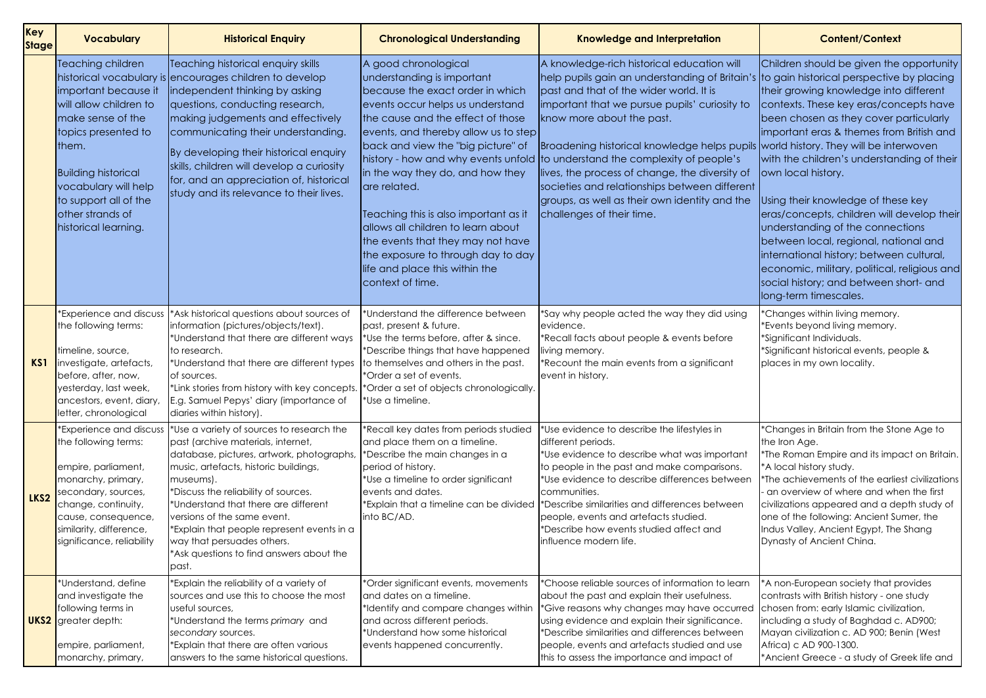| <b>Key</b><br><b>Stage</b> | <b>Vocabulary</b>                                                                                                                                                                                                                                   | <b>Historical Enquiry</b>                                                                                                                                                                                                                                                                                                                                                                                                          | <b>Chronological Understanding</b>                                                                                                                                                                                                                                                                                                                                                                                                                                                                                | <b>Knowledge and Interpretation</b>                                                                                                                                                                                                                                                                                                                                                                                                                                                                                                                                                                    | <b>Content/Context</b>                                                                                                                                                                                                                                                                                                                                                                                                                                                                     |
|----------------------------|-----------------------------------------------------------------------------------------------------------------------------------------------------------------------------------------------------------------------------------------------------|------------------------------------------------------------------------------------------------------------------------------------------------------------------------------------------------------------------------------------------------------------------------------------------------------------------------------------------------------------------------------------------------------------------------------------|-------------------------------------------------------------------------------------------------------------------------------------------------------------------------------------------------------------------------------------------------------------------------------------------------------------------------------------------------------------------------------------------------------------------------------------------------------------------------------------------------------------------|--------------------------------------------------------------------------------------------------------------------------------------------------------------------------------------------------------------------------------------------------------------------------------------------------------------------------------------------------------------------------------------------------------------------------------------------------------------------------------------------------------------------------------------------------------------------------------------------------------|--------------------------------------------------------------------------------------------------------------------------------------------------------------------------------------------------------------------------------------------------------------------------------------------------------------------------------------------------------------------------------------------------------------------------------------------------------------------------------------------|
|                            | Teaching children<br>important because it<br>will allow children to<br>make sense of the<br>topics presented to<br>them.<br><b>Building historical</b><br>vocabulary will help<br>to support all of the<br>other strands of<br>historical learning. | Teaching historical enquiry skills<br>historical vocabulary is encourages children to develop<br>independent thinking by asking<br>questions, conducting research,<br>making judgements and effectively<br>communicating their understanding.<br>By developing their historical enquiry<br>skills, children will develop a curiosity<br>for, and an appreciation of, historical<br>study and its relevance to their lives.         | A good chronological<br>understanding is important<br>because the exact order in which<br>events occur helps us understand<br>the cause and the effect of those<br>events, and thereby allow us to step<br>back and view the "big picture" of<br>in the way they do, and how they<br>are related.<br>Teaching this is also important as it<br>allows all children to learn about<br>the events that they may not have<br>the exposure to through day to day<br>life and place this within the<br>context of time. | A knowledge-rich historical education will<br>help pupils gain an understanding of Britain's to gain historical perspective<br>past and that of the wider world. It is<br>important that we pursue pupils' curiosity to<br>know more about the past.<br>Broadening historical knowledge helps pupils world history. They will be inte<br>history - how and why events unfold to understand the complexity of people's<br>lives, the process of change, the diversity of<br>societies and relationships between different<br>groups, as well as their own identity and the<br>challenges of their time. | Children should be given the<br>their growing knowledge into<br>contexts. These key eras/con<br>been chosen as they cover p<br>limportant eras & themes from<br>with the children's understand<br>own local history.<br>Using their knowledge of thes<br>eras/concepts, children will d<br>understanding of the connec<br>between local, regional, nation<br>international history; betweer<br>economic, military, political, r<br>social history; and between sl<br>long-term timescales. |
| KS1                        | <b>Experience and discuss</b><br>the following terms:<br>timeline, source,<br>investigate, artefacts,<br>before, after, now,<br>yesterday, last week,<br>ancestors, event, diary,<br>letter, chronological                                          | *Ask historical questions about sources of<br>information (pictures/objects/text).<br>*Understand that there are different ways<br>to research.<br>*Understand that there are different types<br>of sources.<br>$^*$ Link stories from history with key concepts. $\mid^*$ Order a set of objects chronologically.<br>E.g. Samuel Pepys' diary (importance of<br>diaries within history).                                          | *Understand the difference between<br>past, present & future.<br>*Use the terms before, after & since.<br>*Describe things that have happened<br>to themselves and others in the past.<br>*Order a set of events.<br>*Use a timeline.                                                                                                                                                                                                                                                                             | *Say why people acted the way they did using<br>evidence.<br>*Recall facts about people & events before<br>living memory.<br>Recount the main events from a significant<br>event in history.                                                                                                                                                                                                                                                                                                                                                                                                           | *Changes within living memory.<br>*Events beyond living memory.<br>*Significant Individuals.<br>*Significant historical events, pe<br>places in my own locality.                                                                                                                                                                                                                                                                                                                           |
| LKS2                       | <b>Experience and discuss</b><br>the following terms:<br>empire, parliament,<br>monarchy, primary,<br>secondary, sources,<br>change, continuity,<br>cause, consequence,<br>similarity, difference,<br>significance, reliability                     | *Use a variety of sources to research the<br>past (archive materials, internet,<br>database, pictures, artwork, photographs,<br>music, artefacts, historic buildings,<br>museums).<br>*Discuss the reliability of sources.<br>*Understand that there are different<br>versions of the same event.<br>*Explain that people represent events in a<br>way that persuades others.<br>*Ask questions to find answers about the<br>past. | *Recall key dates from periods studied<br>and place them on a timeline.<br>*Describe the main changes in a<br>period of history.<br>*Use a timeline to order significant<br>events and dates.<br>*Explain that a timeline can be divided<br>into BC/AD.                                                                                                                                                                                                                                                           | *Use evidence to describe the lifestyles in<br>different periods.<br>*Use evidence to describe what was important<br>to people in the past and make comparisons.<br>*Use evidence to describe differences between<br>communities.<br>*Describe similarities and differences between<br>people, events and artefacts studied.<br>*Describe how events studied affect and<br> influence modern life.                                                                                                                                                                                                     | *Changes in Britain from the Stor<br>the Iron Age.<br>*The Roman Empire and its impo<br>*A local history study.<br>*The achievements of the earlie<br>an overview of where and whe<br>civilizations appeared and a de<br>one of the following: Ancient Su<br>Indus Valley, Ancient Egypt, The<br>Dynasty of Ancient China.                                                                                                                                                                 |
|                            | *Understand, define<br>and investigate the<br>following terms in<br><b>UKS2</b> greater depth:<br>empire, parliament,<br>monarchy, primary,                                                                                                         | *Explain the reliability of a variety of<br>sources and use this to choose the most<br>useful sources,<br>*Understand the terms primary and<br>secondary sources.<br>*Explain that there are often various<br>answers to the same historical questions.                                                                                                                                                                            | *Order significant events, movements<br>and dates on a timeline.<br>*Identify and compare changes within<br>and across different periods.<br>*Understand how some historical<br>events happened concurrently.                                                                                                                                                                                                                                                                                                     | *Choose reliable sources of information to learn<br>about the past and explain their usefulness.<br>*Give reasons why changes may have occurred<br>using evidence and explain their significance.<br>*Describe similarities and differences between<br>people, events and artefacts studied and use<br>this to assess the importance and impact of                                                                                                                                                                                                                                                     | *A non-European society that pi<br>contrasts with British history - one<br>chosen from: early Islamic civilize<br>including a study of Baghdad c<br>Mayan civilization c. AD 900; Be<br>Africa) c AD 900-1300.<br>*Ancient Greece - a study of Gr                                                                                                                                                                                                                                          |

|                                    | <b>Content/Context</b>                                                                                                                                                                                                                                                                                                                                                                                                                                                                                                                                                                                                                                                                                        |
|------------------------------------|---------------------------------------------------------------------------------------------------------------------------------------------------------------------------------------------------------------------------------------------------------------------------------------------------------------------------------------------------------------------------------------------------------------------------------------------------------------------------------------------------------------------------------------------------------------------------------------------------------------------------------------------------------------------------------------------------------------|
| า's<br>Ō<br>ails<br>λf<br>:nt<br>e | Children should be given the opportunity<br>to gain historical perspective by placing<br>their growing knowledge into different<br>contexts. These key eras/concepts have<br>been chosen as they cover particularly<br>important eras & themes from British and<br>world history. They will be interwoven<br>with the children's understanding of their<br>own local history.<br>Using their knowledge of these key<br>eras/concepts, children will develop their<br>understanding of the connections<br>between local, regional, national and<br>international history; between cultural,<br>economic, military, political, religious and<br>social history; and between short- and<br>long-term timescales. |
| J                                  | *Changes within living memory.<br>*Events beyond living memory.<br>*Significant Individuals.<br>*Significant historical events, people &<br>places in my own locality.                                                                                                                                                                                                                                                                                                                                                                                                                                                                                                                                        |
| t<br>'n                            | *Changes in Britain from the Stone Age to<br>the Iron Age.<br>*The Roman Empire and its impact on Britain.<br>*A local history study.<br>*The achievements of the earliest civilizations<br>- an overview of where and when the first<br>civilizations appeared and a depth study of<br>one of the following: Ancient Sumer, the<br>Indus Valley, Ancient Egypt, The Shang<br>Dynasty of Ancient China.                                                                                                                                                                                                                                                                                                       |
| n<br>эq                            | *A non-European society that provides<br>contrasts with British history - one study<br>chosen from: early Islamic civilization,<br>including a study of Baghdad c. AD900;<br>Mayan civilization c. AD 900; Benin (West<br>Africa) c AD 900-1300.<br>*Ancient Greece - a study of Greek life and                                                                                                                                                                                                                                                                                                                                                                                                               |